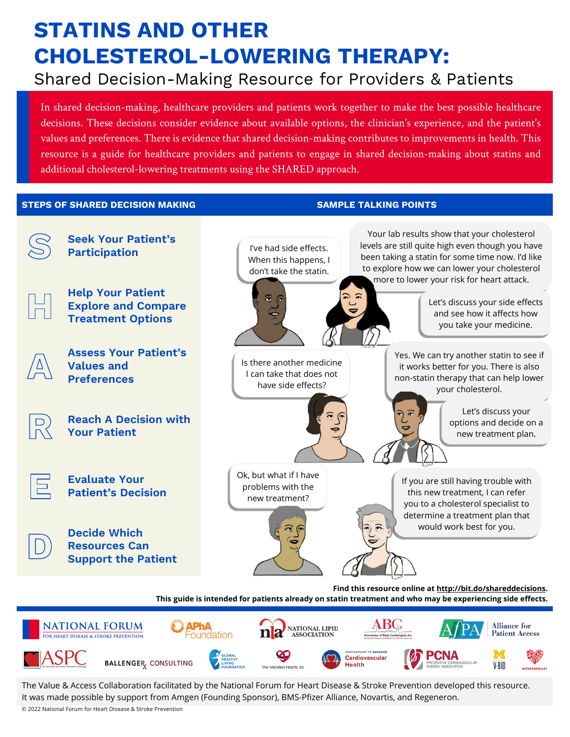# **STATINS AND OTHER CHOLESTEROL-LOWERING THERAPY:**

## Shared Decision-Making Resource for Providers & Patients

In shared decision-making, healthcare providers and patients work together to make the best possible healthcare decisions. These decisions consider evidence about available options, the clinician's experience, and the patient's values and preferences. There is evidence that shared decision-making contributes to improvements in health. This resource is a guide for healthcare providers and patients to engage in shared decision-making about statins and additional cholesterol-lowering treatments using the SHARED approach.

#### **STEPS OF SHARED DECISION MAKING STEPS SAMPLE TALKING POINTS**



The Value & Access Collaboration facilitated by the National Forum for Heart Disease & Stroke Prevention developed this resource. It was made possible by support from Amgen (Founding Sponsor), BMS-Pfizer Alliance, Novartis, and Regeneron.

© 2022 National Forum for Heart Disease & Stroke Prevention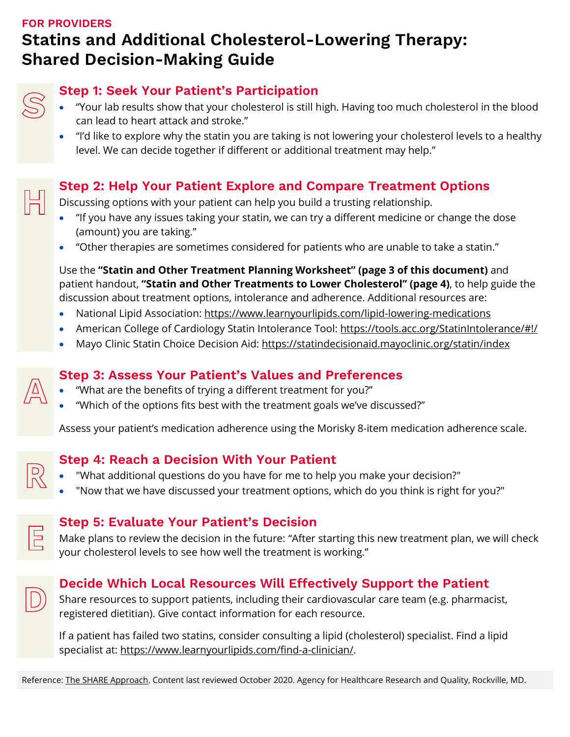### **FOR PROVIDERS Statins and Additional Cholesterol-Lowering Therapy: Shared Decision-Making Guide**

|  |  |  |  | <b>Step 1: Seek Your Patient's Participation</b> |  |  |
|--|--|--|--|--------------------------------------------------|--|--|
|--|--|--|--|--------------------------------------------------|--|--|

- "Your lab results show that your cholesterol is still high. Having too much cholesterol in the blood can lead to heart attack and stroke."
- "I'd like to explore why the statin you are taking is not lowering your cholesterol levels to a healthy level. We can decide together if different or additional treatment may help."

#### **Step 2: Help Your Patient Explore and Compare Treatment Options**

Discussing options with your patient can help you build a trusting relationship.

- "If you have any issues taking your statin, we can try a different medicine or change the dose (amount) you are taking."
- "Other therapies are sometimes considered for patients who are unable to take a statin."

Use the **"Statin and Other [Treatment Planning Worksheet" \(page 3 of this document\)](#page-2-0)** and patient handout, **"Statin and Other [Treatments to Lower Cholesterol" \(page 4\)](#page-3-0)**, to help guide the discussion about treatment options, intolerance and adherence. Additional resources are:

- National Lipid Association: <https://www.learnyourlipids.com/lipid-lowering-medications>
- American College of Cardiology Statin Intolerance Tool:<https://tools.acc.org/StatinIntolerance/#!/>
- Mayo Clinic Statin Choice Decision Aid:<https://statindecisionaid.mayoclinic.org/statin/index>

#### **Step 3: Assess Your Patient's Values and Preferences**

- "What are the benefits of trying a different treatment for you?"
- "Which of the options fits best with the treatment goals we've discussed?"

Assess your patient's medication adherence using the Morisky 8-item medication adherence scale.

#### **Step 4: Reach a Decision With Your Patient**

- "What additional questions do you have for me to help you make your decision?"
- "Now that we have discussed your treatment options, which do you think is right for you?"



#### **Step 5: Evaluate Your Patient's Decision**

Make plans to review the decision in the future: "After starting this new treatment plan, we will check your cholesterol levels to see how well the treatment is working."

#### **Decide Which Local Resources Will Effectively Support the Patient**

Share resources to support patients, including their cardiovascular care team (e.g. pharmacist, registered dietitian). Give contact information for each resource.

If a patient has failed two statins, consider consulting a lipid (cholesterol) specialist. Find a lipid specialist at: [https://www.learnyourlipids.com/find-a-clinician/.](https://www.learnyourlipids.com/find-a-clinician/)

Reference[: The SHARE Approach.](https://www.ahrq.gov/health-literacy/professional-training/shared-decision/tool/resource-2.html) Content last reviewed October 2020. Agency for Healthcare Research and Quality, Rockville, MD.

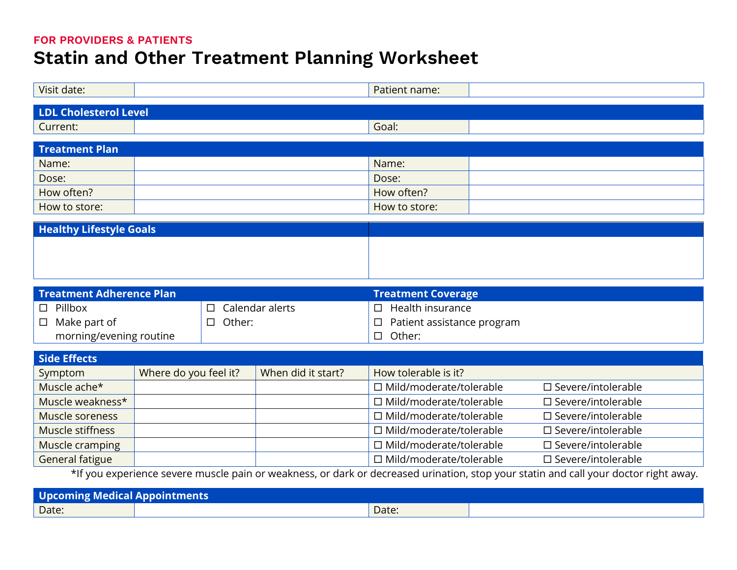#### **FOR PROVIDERS & PATIENTS**

# **Statin and Other Treatment Planning Worksheet**

<span id="page-2-0"></span>

| Visit date:                                                                                                                          |                       |  |                                 | Patient name:                  |  |                              |  |
|--------------------------------------------------------------------------------------------------------------------------------------|-----------------------|--|---------------------------------|--------------------------------|--|------------------------------|--|
| <b>LDL Cholesterol Level</b>                                                                                                         |                       |  |                                 |                                |  |                              |  |
| Current:                                                                                                                             |                       |  |                                 | Goal:                          |  |                              |  |
|                                                                                                                                      |                       |  |                                 |                                |  |                              |  |
| <b>Treatment Plan</b>                                                                                                                |                       |  |                                 |                                |  |                              |  |
| Name:                                                                                                                                |                       |  |                                 | Name:                          |  |                              |  |
| Dose:                                                                                                                                |                       |  |                                 | Dose:                          |  |                              |  |
| How often?                                                                                                                           |                       |  | How often?                      |                                |  |                              |  |
| How to store:                                                                                                                        |                       |  |                                 | How to store:                  |  |                              |  |
| <b>Healthy Lifestyle Goals</b>                                                                                                       |                       |  |                                 |                                |  |                              |  |
|                                                                                                                                      |                       |  |                                 |                                |  |                              |  |
|                                                                                                                                      |                       |  |                                 |                                |  |                              |  |
|                                                                                                                                      |                       |  |                                 |                                |  |                              |  |
|                                                                                                                                      |                       |  |                                 |                                |  |                              |  |
| <b>Treatment Adherence Plan</b>                                                                                                      |                       |  |                                 | <b>Treatment Coverage</b>      |  |                              |  |
| Pillbox<br>$\Box$                                                                                                                    |                       |  | Calendar alerts                 | Health insurance<br>$\Box$     |  |                              |  |
| Make part of<br>$\Box$                                                                                                               | Other:<br>$\Box$      |  | Patient assistance program<br>□ |                                |  |                              |  |
| morning/evening routine                                                                                                              |                       |  | Other:<br>$\Box$                |                                |  |                              |  |
| <b>Side Effects</b>                                                                                                                  |                       |  |                                 |                                |  |                              |  |
| Symptom                                                                                                                              | Where do you feel it? |  | When did it start?              | How tolerable is it?           |  |                              |  |
| Muscle ache*                                                                                                                         |                       |  |                                 | □ Mild/moderate/tolerable      |  | $\square$ Severe/intolerable |  |
| Muscle weakness*                                                                                                                     |                       |  |                                 | □ Mild/moderate/tolerable      |  | $\square$ Severe/intolerable |  |
| Muscle soreness                                                                                                                      |                       |  |                                 | □ Mild/moderate/tolerable      |  | □ Severe/intolerable         |  |
|                                                                                                                                      |                       |  |                                 |                                |  |                              |  |
| Muscle stiffness                                                                                                                     |                       |  |                                 | □ Mild/moderate/tolerable      |  | $\square$ Severe/intolerable |  |
| Muscle cramping                                                                                                                      |                       |  |                                 | □ Mild/moderate/tolerable      |  | □ Severe/intolerable         |  |
| <b>General fatigue</b>                                                                                                               |                       |  |                                 | $\Box$ Mild/moderate/tolerable |  | $\square$ Severe/intolerable |  |
| *If you experience severe muscle pain or weakness, or dark or decreased urination, stop your statin and call your doctor right away. |                       |  |                                 |                                |  |                              |  |
| <b>Upcoming Medical Appointments</b>                                                                                                 |                       |  |                                 |                                |  |                              |  |
| Date:                                                                                                                                |                       |  |                                 | Date:                          |  |                              |  |